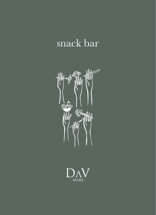## snack bar